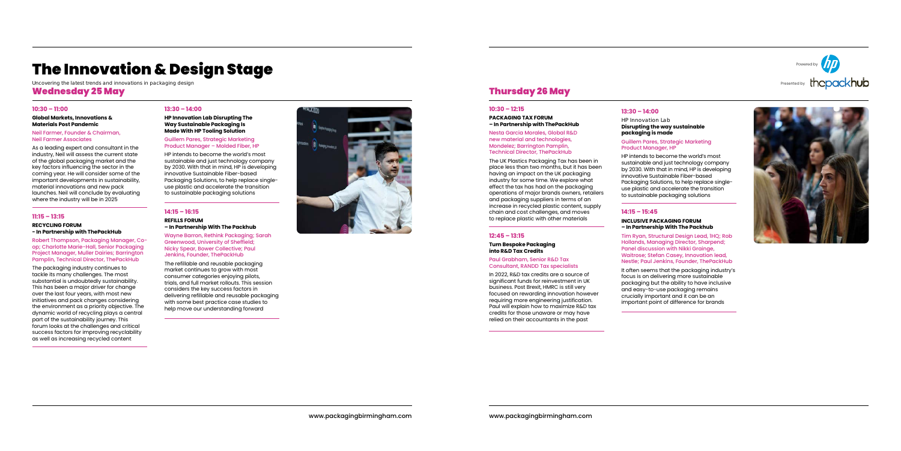# The Innovation & Design Stage

*Uncovering the latest trends and innovations in packaging design* Wednesday 25 May Thursday 26 May

#### **10:30 – 11:00**

#### **Global Markets, Innovations & Materials Post Pandemic**

#### Neil Farmer, Founder & Chairman, Neil Farmer Associates

As a leading expert and consultant in the industry, Neil will assess the current state of the global packaging market and the key factors influencing the sector in the coming year. He will consider some of the important developments in sustainability, material innovations and new pack launches. Neil will conclude by evaluating where the industry will be in 2025

### **11:15 – 13:15**

#### **RECYCLING FORUM - In Partnership with ThePackHub**

Robert Thompson, Packaging Manager, Coop; Charlotte Marie-Hall, Senior Packaging Project Manager, Muller Dairies; Barrington Pamplin, Technical Director, ThePackHub

The packaging industry continues to tackle its many challenges. The most substantial is undoubtedly sustainability. This has been a major driver for change over the last four years, with most new initiatives and pack changes considering the environment as a priority objective. The dynamic world of recycling plays a central part of the sustainability journey. This forum looks at the challenges and critical success factors for improving recyclability as well as increasing recycled content

Powered by Presented by the pack hub



#### **13:30 – 14:00**

#### **HP Innovation Lab Disrupting The Way Sustainable Packaging Is Made With HP Tooling Solution**

#### Guillem Pares, Strategic Marketing Product Manager – Molded Fiber, HP

HP intends to become the world's most sustainable and just technology company by 2030. With that in mind, HP is developing innovative Sustainable Fiber-based Packaging Solutions, to help replace singleuse plastic and accelerate the transition to sustainable packaging solutions

## **14:15 – 16:15**

#### **REFILLS FORUM – In Partnership With The Packhub**

Wayne Barron, Rethink Packaging; Sarah Greenwood, University of Sheffield; Nicky Spear, Bower Collective; Paul Jenkins, Founder, ThePackHub

The refillable and reusable packaging market continues to grow with most consumer categories enjoying pilots, trials, and full market rollouts. This session considers the key success factors in delivering refillable and reusable packaging with some best practice case studies to help move our understanding forward



#### **10:30 – 12:15**

#### **PACKAGING TAX FORUM – In Partnership with ThePackHub**

Nesta Garcia Morales, Global R&D new material and technologies, Mondelez; Barrington Pamplin, Technical Director, ThePackHub

The UK Plastics Packaging Tax has been in place less than two months, but it has been having an impact on the UK packaging industry for some time. We explore what effect the tax has had on the packaging operations of major brands owners, retailers and packaging suppliers in terms of an increase in recycled plastic content, supply chain and cost challenges, and moves to replace plastic with other materials

#### **12:45 – 13:15**

#### **Turn Bespoke Packaging into R&D Tax Credits**

#### Paul Grabham, Senior R&D Tax Consultant, RANDD Tax specialists

In 2022, R&D tax credits are a source of significant funds for reinvestment in UK business. Post Brexit, HMRC is still very focused on rewarding innovation however requiring more engineering justification. Paul will explain how to maximize R&D tax credits for those unaware or may have relied on their accountants in the past

**13:30 – 14:00** *HP Innovation Lab* 

#### **Disrupting the way sustainable**

**packaging is made**

#### Guillem Pares, Strategic Marketing

Product Manager, HP

HP intends to become the world's most sustainable and just technology company by 2030. With that in mind, HP is developing innovative Sustainable Fiber-based Packaging Solutions, to help replace singleuse plastic and accelerate the transition to sustainable packaging solutions

**14:15 – 15:45** 

#### **INCLUSIVE PACKAGING FORUM – In Partnership With The Packhub**

Tim Ryan, Structural Design Lead, 1HQ; Rob Hollands, Managing Director, Sharpend; Panel discussion with Nikki Grainge, Waitrose; Stefan Casey, Innovation lead,

Nestle; Paul Jenkins, Founder, ThePackHub It often seems that the packaging industry's focus is on delivering more sustainable packaging but the ability to have inclusive and easy-to-use packaging remains crucially important and it can be an important point of difference for brands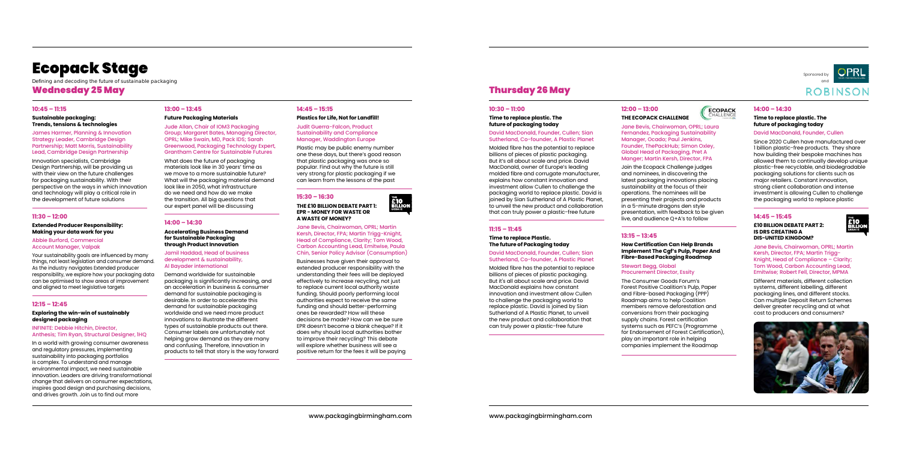#### **10:45 – 11:15**

#### **Sustainable packaging: Trends, tensions & technologies**

James Harmer, Planning & Innovation Strategy Leader, Cambridge Design Partnership; Matt Morris, Sustainability Lead, Cambridge Design Partnership

Innovation specialists, Cambridge Design Partnership, will be providing us with their view on the future challenges for packaging sustainability. With their perspective on the ways in which innovation and technology will play a critical role in the development of future solutions

#### **11:30 – 12:00**

#### **Extended Producer Responsibility: Making your data work for you**

Abbie Burford, Commercial Account Manager, Valpak

Your sustainability goals are influenced by many things, not least legislation and consumer demand. As the industry navigates Extended producer responsibility, we explore how your packaging data can be optimised to show areas of improvement and aligned to meet legislative targets

### **12:15 – 12:45**

#### **Exploring the win-win of sustainably designed packaging**

#### INFINITE: Debbie Hitchin, Director, Anthesis; Tim Ryan, Structural Designer, 1HQ

In a world with growing consumer awareness and regulatory pressures, implementing sustainability into packaging portfolios is complex. To understand and manage environmental impact, we need sustainable innovation. Leaders are driving transformational change that delivers on consumer expectations, inspires good design and purchasing decisions, and drives growth. Join us to find out more

#### **10:30 – 11:00**

#### **Time to replace plastic. The future of packaging today**

#### David MacDonald, Founder, Cullen; Sian Sutherland, Co-founder, A Plastic Planet

Molded fibre has the potential to replace billions of pieces of plastic packaging. But it's all about scale and price. David MacDonald, owner of Europe's leading molded fibre and corrugate manufacturer, explains how constant innovation and investment allow Cullen to challenge the packaging world to replace plastic. David is joined by Sian Sutherland of A Plastic Planet, to unveil the new product and collaboration that can truly power a plastic-free future

#### **11:15 – 11:45**

#### **Time to replace Plastic. The future of Packaging today**

#### David MacDonald, Founder, Cullen; Sian Sutherland, Co-founder, A Plastic Planet

Molded fibre has the potential to replace billions of pieces of plastic packaging. But it's all about scale and price. David MacDonald explains how constant innovation and investment allow Cullen to challenge the packaging world to replace plastic. David is joined by Sian Sutherland of A Plastic Planet, to unveil the new product and collaboration that can truly power a plastic-free future

#### **13:00 – 13:45**

#### **Future Packaging Materials**

Jude Allan, Chair of IOM3 Packaging Group; Margaret Bates, Managing Director, OPRL; Mike Swain, MD, Pack IDS; Sarah Greenwood, Packaging Technology Expert, Grantham Centre for Sustainable Futures

What does the future of packaging materials look like in 30 years' time as we move to a more sustainable future? What will the packaging material demand look like in 2050, what infrastructure do we need and how do we make the transition. All big questions that our expert panel will be discussing

#### **14:00 – 14:30**

#### **Accelerating Business Demand for Sustainable Packaging through Product Innovation**

Jamil Haddad, Head of business development & sustainability, Al Bayader international

Demand worldwide for sustainable packaging is significantly increasing, and an acceleration in business & consumer demand for sustainable packaging is desirable. In order to accelerate this demand for sustainable packaging worldwide and we need more product innovations to illustrate the different types of sustainable products out there. Consumer labels are unfortunately not helping grow demand as they are many and confusing. Therefore, innovation in products to tell that story is the way forward **12:00 – 13:00**

## **THE ECOPACK CHALLENGE**

Jane Bevis, Chairwoman, OPRL; Laura Fernandez, Packaging Sustainability Manager, Ocado; Paul Jenkins, Founder, ThePackHub; Simon Oxley, Global Head of Packaging, Pret A Manger; Martin Kersh, Director, FPA

Join the Ecopack Challenge judges and nominees, in discovering the latest packaging innovations placing sustainability at the focus of their operations. The nominees will be presenting their projects and products in a 5-minute dragons den style presentation, with feedback to be given live, and audience Q+A's to follow

#### **13:15 – 13:45**

#### **How Certification Can Help Brands Implement The Cgf's Pulp, Paper And Fibre-Based Packaging Roadmap**

#### Stewart Begg, Global Procurement Director, Essity

The Consumer Goods Forum's Forest Positive Coalition's Pulp, Paper and Fibre-based Packaging (PPP) Roadmap aims to help Coalition members remove deforestation and conversions from their packaging supply chains. Forest certification systems such as PEFC's (Programme for Endorsement of Forest Certification), play an important role in helping companies implement the Roadmap

## **14:45 – 15:15**

#### **Plastics for Life, Not for Landfill!**

#### Judit Guerra-Falcon, Product Sustainability and Compliance Manager, Waddington Europe

Plastic may be public enemy number one these days, but there's good reason that plastic packaging was once so popular. Find out why the future is still very strong for plastic packaging if we can learn from the lessons of the past

#### **15:30 – 16:30**

#### **THE £10 BILLION DEBATE PART 1: EPR - MONEY FOR WASTE OR A WASTE OF MONEY?**

Jane Bevis, Chairwoman, OPRL; Martin Kersh, Director, FPA; Martin Trigg-Knight, Head of Compliance, Clarity; Tom Wood, Carbon Accounting Lead, Emitwise, Paula Chin, Senior Policy Advisor (Consumption)

**E10**<br>BILLION

Businesses have given their approval to extended producer responsibility with the understanding their fees will be deployed effectively to increase recycling, not just to replace current local authority waste funding. Should poorly performing local authorities expect to receive the same funding and should better-performing ones be rewarded? How will these decisions be made? How can we be sure EPR doesn't become a blank cheque? If it does why should local authorities bother to improve their recycling? This debate will explore whether business will see a positive return for the fees it will be paying

#### **14:00 – 14:30**

#### **Time to replace plastic. The future of packaging today**

#### David MacDonald, Founder, Cullen

Since 2020 Cullen have manufactured over 1 billion plastic-free products. They share how building their bespoke machines has allowed them to continually develop unique plastic-free recyclable, and biodegradable packaging solutions for clients such as major retailers. Constant innovation, strong client collaboration and intense investment is allowing Cullen to challenge the packaging world to replace plastic

#### **14:45 – 15:45**

#### **£10 BILLION DEBATE PART 2: IS DRS CREATING A DIS-UNITED KINGDOM?**



Jane Bevis, Chairwoman, OPRL; Martin Kersh, Director, FPA; Martin Trigg-Knight, Head of Compliance – Clarity; Tom Wood, Carbon Accounting Lead, Emitwise; Robert Fell, Director, MPMA

Different materials, different collection systems, different labelling, different packaging lines, and different stocks. Can multiple Deposit Return Schemes deliver greater recycling and at what cost to producers and consumers?



# Thursday 26 May

Sponsored by



**ROBINSO** 



# Ecopack Stage

*Defining and decoding the future of sustainable packaging* Wednesday 25 May